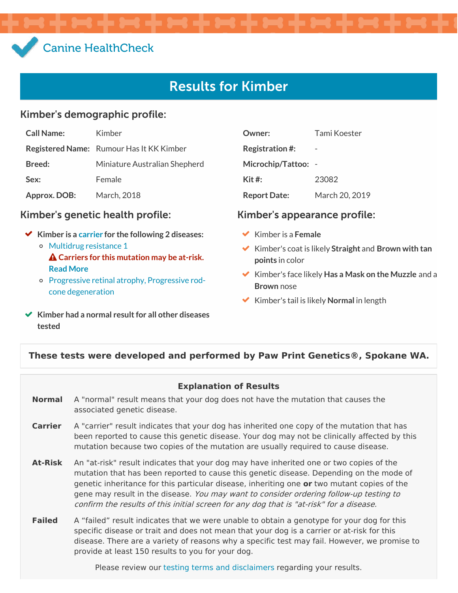# Canine [HealthCheck](file:///)

# Results for Kimber

#### Kimber's demographic profile:

| <b>Call Name:</b> | Kimber                                          |
|-------------------|-------------------------------------------------|
|                   | <b>Registered Name:</b> Rumour Has It KK Kimber |
| <b>Breed:</b>     | Miniature Australian Shepherd                   |
| Sex:              | Female                                          |
| Approx. DOB:      | March, 2018                                     |

#### Kimber's genetic health profile: Kimber's appearance profile:

- **Kimber is a [carrier](#page-0-0) for the following 2 diseases:** o Multidrug [resistance](file:///results/targets/41/summary/) 1
	- **Carriers for this mutation may be at-risk. Read [More](file:///results/targets/41/summary/#symptoms)**
	- Progressive retinal atrophy, Progressive rodcone [degeneration](file:///results/targets/22/summary/)
- **Kimber had a normal result for all other diseases tested**

| Owner:                 | Tami Koester   |
|------------------------|----------------|
| <b>Registration #:</b> |                |
| Microchip/Tattoo:      |                |
| Kit #:                 | 23082          |
| <b>Report Date:</b>    | March 20, 2019 |

- Kimber is a **Female**
- Kimber's coat is likely **Straight** and **Brown with tan points** in color
- Kimber's face likely **Has a Mask on the Muzzle** and a **Brown** nose
- Kimber's tail is likely **Normal** in length

#### <span id="page-0-0"></span>**These tests were developed and performed by Paw Print Genetics®, Spokane WA.**

#### **Explanation of Results**

- **Normal** A "normal" result means that your dog does not have the mutation that causes the associated genetic disease.
- **Carrier** A "carrier" result indicates that your dog has inherited one copy of the mutation that has been reported to cause this genetic disease. Your dog may not be clinically affected by this mutation because two copies of the mutation are usually required to cause disease.
- **At-Risk** An "at-risk" result indicates that your dog may have inherited one or two copies of the mutation that has been reported to cause this genetic disease. Depending on the mode of genetic inheritance for this particular disease, inheriting one **or** two mutant copies of the gene may result in the disease. You may want to consider ordering follow-up testing to confirm the results of this initial screen for any dog that is "at-risk" for <sup>a</sup> disease.
- **Failed** A "failed" result indicates that we were unable to obtain a genotype for your dog for this specific disease or trait and does not mean that your dog is a carrier or at-risk for this disease. There are a variety of reasons why a specific test may fail. However, we promise to provide at least 150 results to you for your dog.

Please review our testing terms and [disclaimers](https://www.caninehealthcheck.com/terms-and-disclaimers/) regarding your results.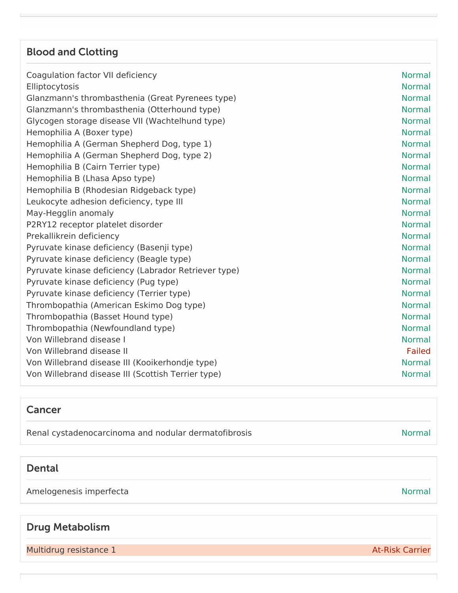## Blood and Clotting

| Coagulation factor VII deficiency                    | <b>Normal</b> |
|------------------------------------------------------|---------------|
| Elliptocytosis                                       | <b>Normal</b> |
| Glanzmann's thrombasthenia (Great Pyrenees type)     | <b>Normal</b> |
| Glanzmann's thrombasthenia (Otterhound type)         | <b>Normal</b> |
| Glycogen storage disease VII (Wachtelhund type)      | <b>Normal</b> |
| Hemophilia A (Boxer type)                            | <b>Normal</b> |
| Hemophilia A (German Shepherd Dog, type 1)           | <b>Normal</b> |
| Hemophilia A (German Shepherd Dog, type 2)           | <b>Normal</b> |
| Hemophilia B (Cairn Terrier type)                    | <b>Normal</b> |
| Hemophilia B (Lhasa Apso type)                       | <b>Normal</b> |
| Hemophilia B (Rhodesian Ridgeback type)              | <b>Normal</b> |
| Leukocyte adhesion deficiency, type III              | <b>Normal</b> |
| May-Hegglin anomaly                                  | <b>Normal</b> |
| P2RY12 receptor platelet disorder                    | <b>Normal</b> |
| Prekallikrein deficiency                             | <b>Normal</b> |
| Pyruvate kinase deficiency (Basenji type)            | <b>Normal</b> |
| Pyruvate kinase deficiency (Beagle type)             | <b>Normal</b> |
| Pyruvate kinase deficiency (Labrador Retriever type) | <b>Normal</b> |
| Pyruvate kinase deficiency (Pug type)                | <b>Normal</b> |
| Pyruvate kinase deficiency (Terrier type)            | <b>Normal</b> |
| Thrombopathia (American Eskimo Dog type)             | <b>Normal</b> |
| Thrombopathia (Basset Hound type)                    | <b>Normal</b> |
| Thrombopathia (Newfoundland type)                    | <b>Normal</b> |
| Von Willebrand disease I                             | <b>Normal</b> |
| Von Willebrand disease II                            | <b>Failed</b> |
| Von Willebrand disease III (Kooikerhondje type)      | <b>Normal</b> |
| Von Willebrand disease III (Scottish Terrier type)   | <b>Normal</b> |
|                                                      |               |

#### Cancer

Renal cystadenocarcinoma and nodular dermatofibrosis Normal Renal cystadenocarcinoma and nodular dermatofibrosis

#### Dental

Amelogenesis imperfecta and a state of the state of the state of the Normal Normal

## Drug Metabolism

Multidrug resistance 1 At-Risk Carrier and At-Risk Carrier and At-Risk Carrier and At-Risk Carrier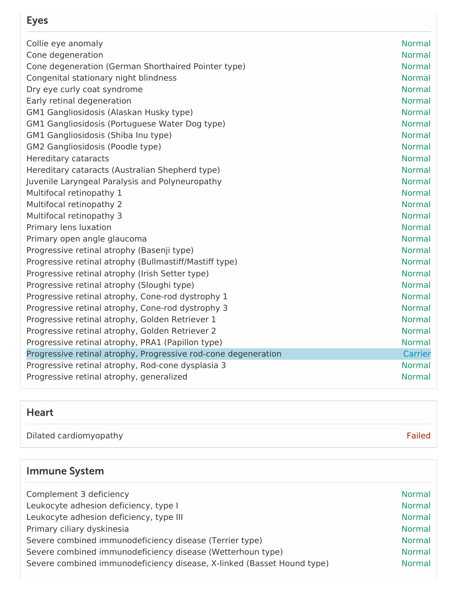# Eyes

| Collie eye anomaly                                             | <b>Normal</b> |
|----------------------------------------------------------------|---------------|
| Cone degeneration                                              | <b>Normal</b> |
| Cone degeneration (German Shorthaired Pointer type)            | <b>Normal</b> |
| Congenital stationary night blindness                          | <b>Normal</b> |
| Dry eye curly coat syndrome                                    | <b>Normal</b> |
| Early retinal degeneration                                     | <b>Normal</b> |
| GM1 Gangliosidosis (Alaskan Husky type)                        | <b>Normal</b> |
| GM1 Gangliosidosis (Portuguese Water Dog type)                 | <b>Normal</b> |
| GM1 Gangliosidosis (Shiba Inu type)                            | <b>Normal</b> |
| GM2 Gangliosidosis (Poodle type)                               | <b>Normal</b> |
| Hereditary cataracts                                           | <b>Normal</b> |
| Hereditary cataracts (Australian Shepherd type)                | <b>Normal</b> |
| Juvenile Laryngeal Paralysis and Polyneuropathy                | <b>Normal</b> |
| Multifocal retinopathy 1                                       | <b>Normal</b> |
| Multifocal retinopathy 2                                       | <b>Normal</b> |
| Multifocal retinopathy 3                                       | <b>Normal</b> |
| Primary lens luxation                                          | <b>Normal</b> |
| Primary open angle glaucoma                                    | <b>Normal</b> |
| Progressive retinal atrophy (Basenji type)                     | <b>Normal</b> |
| Progressive retinal atrophy (Bullmastiff/Mastiff type)         | <b>Normal</b> |
| Progressive retinal atrophy (Irish Setter type)                | <b>Normal</b> |
| Progressive retinal atrophy (Sloughi type)                     | <b>Normal</b> |
| Progressive retinal atrophy, Cone-rod dystrophy 1              | <b>Normal</b> |
| Progressive retinal atrophy, Cone-rod dystrophy 3              | <b>Normal</b> |
| Progressive retinal atrophy, Golden Retriever 1                | <b>Normal</b> |
| Progressive retinal atrophy, Golden Retriever 2                | <b>Normal</b> |
| Progressive retinal atrophy, PRA1 (Papillon type)              | <b>Normal</b> |
| Progressive retinal atrophy, Progressive rod-cone degeneration | Carrier       |
| Progressive retinal atrophy, Rod-cone dysplasia 3              | <b>Normal</b> |
| Progressive retinal atrophy, generalized                       | <b>Normal</b> |

# Heart

| Dilated cardiomyopathy | <b>Failed</b> |
|------------------------|---------------|
|                        |               |

# Immune System

| Complement 3 deficiency                                                | <b>Normal</b> |
|------------------------------------------------------------------------|---------------|
| Leukocyte adhesion deficiency, type I                                  | <b>Normal</b> |
| Leukocyte adhesion deficiency, type III                                | <b>Normal</b> |
| Primary ciliary dyskinesia                                             | <b>Normal</b> |
| Severe combined immunodeficiency disease (Terrier type)                | <b>Normal</b> |
| Severe combined immunodeficiency disease (Wetterhoun type)             | <b>Normal</b> |
| Severe combined immunodeficiency disease, X-linked (Basset Hound type) | <b>Normal</b> |
|                                                                        |               |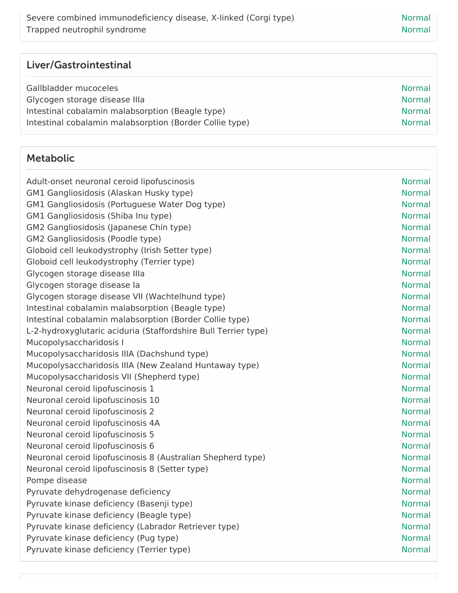| Liver/Gastrointestinal |
|------------------------|
|------------------------|

| <b>Normal</b> |
|---------------|
| <b>Normal</b> |
| <b>Normal</b> |
| <b>Normal</b> |
|               |

#### Metabolic

| Adult-onset neuronal ceroid lipofuscinosis<br>GM1 Gangliosidosis (Alaskan Husky type)<br>GM1 Gangliosidosis (Portuguese Water Dog type)<br>GM1 Gangliosidosis (Shiba Inu type) | <b>Normal</b><br><b>Normal</b><br><b>Normal</b><br><b>Normal</b> |
|--------------------------------------------------------------------------------------------------------------------------------------------------------------------------------|------------------------------------------------------------------|
| GM2 Gangliosidosis (Japanese Chin type)                                                                                                                                        | <b>Normal</b><br><b>Normal</b>                                   |
| GM2 Gangliosidosis (Poodle type)<br>Globoid cell leukodystrophy (Irish Setter type)                                                                                            | <b>Normal</b>                                                    |
| Globoid cell leukodystrophy (Terrier type)                                                                                                                                     | <b>Normal</b>                                                    |
| Glycogen storage disease Illa                                                                                                                                                  | <b>Normal</b>                                                    |
| Glycogen storage disease la                                                                                                                                                    | <b>Normal</b>                                                    |
| Glycogen storage disease VII (Wachtelhund type)                                                                                                                                | <b>Normal</b>                                                    |
| Intestinal cobalamin malabsorption (Beagle type)                                                                                                                               | <b>Normal</b>                                                    |
| Intestinal cobalamin malabsorption (Border Collie type)                                                                                                                        | <b>Normal</b>                                                    |
| L-2-hydroxyglutaric aciduria (Staffordshire Bull Terrier type)                                                                                                                 | <b>Normal</b>                                                    |
| Mucopolysaccharidosis I                                                                                                                                                        | <b>Normal</b>                                                    |
| Mucopolysaccharidosis IIIA (Dachshund type)                                                                                                                                    | <b>Normal</b>                                                    |
| Mucopolysaccharidosis IIIA (New Zealand Huntaway type)                                                                                                                         | <b>Normal</b>                                                    |
| Mucopolysaccharidosis VII (Shepherd type)                                                                                                                                      | <b>Normal</b>                                                    |
| Neuronal ceroid lipofuscinosis 1                                                                                                                                               | <b>Normal</b>                                                    |
| Neuronal ceroid lipofuscinosis 10                                                                                                                                              | <b>Normal</b>                                                    |
| Neuronal ceroid lipofuscinosis 2                                                                                                                                               | <b>Normal</b>                                                    |
| Neuronal ceroid lipofuscinosis 4A                                                                                                                                              | <b>Normal</b>                                                    |
| Neuronal ceroid lipofuscinosis 5                                                                                                                                               | <b>Normal</b>                                                    |
| Neuronal ceroid lipofuscinosis 6                                                                                                                                               | <b>Normal</b>                                                    |
| Neuronal ceroid lipofuscinosis 8 (Australian Shepherd type)                                                                                                                    | <b>Normal</b>                                                    |
| Neuronal ceroid lipofuscinosis 8 (Setter type)                                                                                                                                 | <b>Normal</b>                                                    |
| Pompe disease                                                                                                                                                                  | <b>Normal</b>                                                    |
| Pyruvate dehydrogenase deficiency                                                                                                                                              | <b>Normal</b>                                                    |
| Pyruvate kinase deficiency (Basenji type)                                                                                                                                      | <b>Normal</b>                                                    |
| Pyruvate kinase deficiency (Beagle type)                                                                                                                                       | <b>Normal</b>                                                    |
| Pyruvate kinase deficiency (Labrador Retriever type)                                                                                                                           | <b>Normal</b>                                                    |
| Pyruvate kinase deficiency (Pug type)                                                                                                                                          | <b>Normal</b>                                                    |
| Pyruvate kinase deficiency (Terrier type)                                                                                                                                      | <b>Normal</b>                                                    |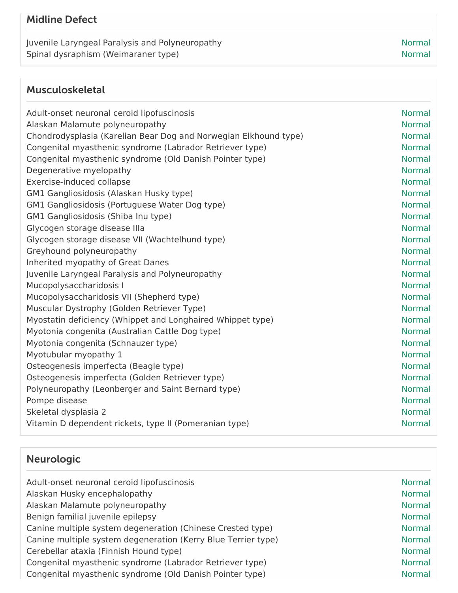### Midline Defect

Juvenile Laryngeal Paralysis and Polyneuropathy Normal Normal Spinal dysraphism (Weimaraner type) Normal Spinal dysraphism (Weimaraner type) Normal

## Musculoskeletal

| Adult-onset neuronal ceroid lipofuscinosis                       | <b>Normal</b> |
|------------------------------------------------------------------|---------------|
| Alaskan Malamute polyneuropathy                                  | <b>Normal</b> |
| Chondrodysplasia (Karelian Bear Dog and Norwegian Elkhound type) | <b>Normal</b> |
| Congenital myasthenic syndrome (Labrador Retriever type)         | <b>Normal</b> |
| Congenital myasthenic syndrome (Old Danish Pointer type)         | <b>Normal</b> |
| Degenerative myelopathy                                          | <b>Normal</b> |
| Exercise-induced collapse                                        | <b>Normal</b> |
| GM1 Gangliosidosis (Alaskan Husky type)                          | <b>Normal</b> |
| GM1 Gangliosidosis (Portuguese Water Dog type)                   | <b>Normal</b> |
| GM1 Gangliosidosis (Shiba Inu type)                              | <b>Normal</b> |
| Glycogen storage disease Illa                                    | <b>Normal</b> |
| Glycogen storage disease VII (Wachtelhund type)                  | <b>Normal</b> |
| Greyhound polyneuropathy                                         | <b>Normal</b> |
| Inherited myopathy of Great Danes                                | <b>Normal</b> |
| Juvenile Laryngeal Paralysis and Polyneuropathy                  | <b>Normal</b> |
| Mucopolysaccharidosis I                                          | <b>Normal</b> |
| Mucopolysaccharidosis VII (Shepherd type)                        | <b>Normal</b> |
| Muscular Dystrophy (Golden Retriever Type)                       | <b>Normal</b> |
| Myostatin deficiency (Whippet and Longhaired Whippet type)       | <b>Normal</b> |
| Myotonia congenita (Australian Cattle Dog type)                  | <b>Normal</b> |
| Myotonia congenita (Schnauzer type)                              | <b>Normal</b> |
| Myotubular myopathy 1                                            | <b>Normal</b> |
| Osteogenesis imperfecta (Beagle type)                            | <b>Normal</b> |
| Osteogenesis imperfecta (Golden Retriever type)                  | <b>Normal</b> |
| Polyneuropathy (Leonberger and Saint Bernard type)               | <b>Normal</b> |
| Pompe disease                                                    | <b>Normal</b> |
| Skeletal dysplasia 2                                             | <b>Normal</b> |
| Vitamin D dependent rickets, type II (Pomeranian type)           | <b>Normal</b> |
|                                                                  |               |

# Neurologic

| Adult-onset neuronal ceroid lipofuscinosis                    | <b>Normal</b> |
|---------------------------------------------------------------|---------------|
| Alaskan Husky encephalopathy                                  | <b>Normal</b> |
| Alaskan Malamute polyneuropathy                               | <b>Normal</b> |
| Benign familial juvenile epilepsy                             | <b>Normal</b> |
| Canine multiple system degeneration (Chinese Crested type)    | <b>Normal</b> |
| Canine multiple system degeneration (Kerry Blue Terrier type) | <b>Normal</b> |
| Cerebellar ataxia (Finnish Hound type)                        | <b>Normal</b> |
| Congenital myasthenic syndrome (Labrador Retriever type)      | <b>Normal</b> |
| Congenital myasthenic syndrome (Old Danish Pointer type)      | <b>Normal</b> |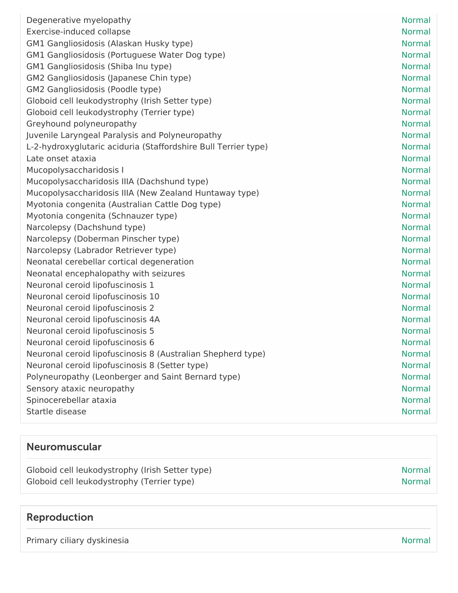| Degenerative myelopathy                                        | <b>Normal</b> |
|----------------------------------------------------------------|---------------|
| Exercise-induced collapse                                      | <b>Normal</b> |
| GM1 Gangliosidosis (Alaskan Husky type)                        | <b>Normal</b> |
| GM1 Gangliosidosis (Portuguese Water Dog type)                 | <b>Normal</b> |
| GM1 Gangliosidosis (Shiba Inu type)                            | <b>Normal</b> |
| GM2 Gangliosidosis (Japanese Chin type)                        | <b>Normal</b> |
| GM2 Gangliosidosis (Poodle type)                               | <b>Normal</b> |
| Globoid cell leukodystrophy (Irish Setter type)                | <b>Normal</b> |
| Globoid cell leukodystrophy (Terrier type)                     | <b>Normal</b> |
| Greyhound polyneuropathy                                       | <b>Normal</b> |
| Juvenile Laryngeal Paralysis and Polyneuropathy                | <b>Normal</b> |
| L-2-hydroxyglutaric aciduria (Staffordshire Bull Terrier type) | <b>Normal</b> |
| Late onset ataxia                                              | <b>Normal</b> |
| Mucopolysaccharidosis I                                        | <b>Normal</b> |
| Mucopolysaccharidosis IIIA (Dachshund type)                    | <b>Normal</b> |
| Mucopolysaccharidosis IIIA (New Zealand Huntaway type)         | <b>Normal</b> |
| Myotonia congenita (Australian Cattle Dog type)                | <b>Normal</b> |
| Myotonia congenita (Schnauzer type)                            | <b>Normal</b> |
| Narcolepsy (Dachshund type)                                    | <b>Normal</b> |
| Narcolepsy (Doberman Pinscher type)                            | <b>Normal</b> |
| Narcolepsy (Labrador Retriever type)                           | <b>Normal</b> |
| Neonatal cerebellar cortical degeneration                      | <b>Normal</b> |
| Neonatal encephalopathy with seizures                          | <b>Normal</b> |
| Neuronal ceroid lipofuscinosis 1                               | <b>Normal</b> |
| Neuronal ceroid lipofuscinosis 10                              | <b>Normal</b> |
| Neuronal ceroid lipofuscinosis 2                               | <b>Normal</b> |
| Neuronal ceroid lipofuscinosis 4A                              | <b>Normal</b> |
| Neuronal ceroid lipofuscinosis 5                               | <b>Normal</b> |
| Neuronal ceroid lipofuscinosis 6                               | <b>Normal</b> |
| Neuronal ceroid lipofuscinosis 8 (Australian Shepherd type)    | Normal        |
| Neuronal ceroid lipofuscinosis 8 (Setter type)                 | <b>Normal</b> |
| Polyneuropathy (Leonberger and Saint Bernard type)             | <b>Normal</b> |
| Sensory ataxic neuropathy                                      | <b>Normal</b> |
| Spinocerebellar ataxia                                         | <b>Normal</b> |
| Startle disease                                                | <b>Normal</b> |
|                                                                |               |

# Neuromuscular

| Globoid cell leukodystrophy (Irish Setter type) | <b>Normal</b> |
|-------------------------------------------------|---------------|
| Globoid cell leukodystrophy (Terrier type)      | <b>Normal</b> |

# Reproduction

Primary ciliary dyskinesia Normal American Channel Channel American Channel Channel Normal